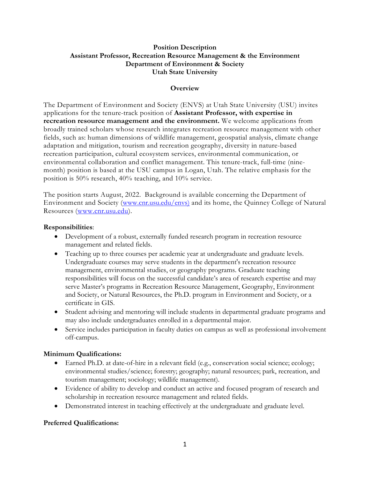### **Position Description Assistant Professor, Recreation Resource Management & the Environment Department of Environment & Society Utah State University**

### **Overview**

The Department of Environment and Society (ENVS) at Utah State University (USU) invites applications for the tenure-track position of **Assistant Professor, with expertise in recreation resource management and the environment.** We welcome applications from broadly trained scholars whose research integrates recreation resource management with other fields, such as: human dimensions of wildlife management, geospatial analysis, climate change adaptation and mitigation, tourism and recreation geography, diversity in nature-based recreation participation, cultural ecosystem services, environmental communication, or environmental collaboration and conflict management. This tenure-track, full-time (ninemonth) position is based at the USU campus in Logan, Utah. The relative emphasis for the position is 50% research, 40% teaching, and 10% service.

The position starts August, 2022. Background is available concerning the Department of Environment and Society (www.cnr.usu.edu/envs) and its home, the Quinney College of Natural Resources (www.cnr.usu.edu).

#### **Responsibilities**:

- Development of a robust, externally funded research program in recreation resource management and related fields.
- Teaching up to three courses per academic year at undergraduate and graduate levels. Undergraduate courses may serve students in the department's recreation resource management, environmental studies, or geography programs. Graduate teaching responsibilities will focus on the successful candidate's area of research expertise and may serve Master's programs in Recreation Resource Management, Geography, Environment and Society, or Natural Resources, the Ph.D. program in Environment and Society, or a certificate in GIS.
- Student advising and mentoring will include students in departmental graduate programs and may also include undergraduates enrolled in a departmental major.
- Service includes participation in faculty duties on campus as well as professional involvement off-campus.

#### **Minimum Qualifications:**

- Earned Ph.D. at date-of-hire in a relevant field (e.g., conservation social science; ecology; environmental studies/science; forestry; geography; natural resources; park, recreation, and tourism management; sociology; wildlife management).
- Evidence of ability to develop and conduct an active and focused program of research and scholarship in recreation resource management and related fields.
- Demonstrated interest in teaching effectively at the undergraduate and graduate level.

## **Preferred Qualifications:**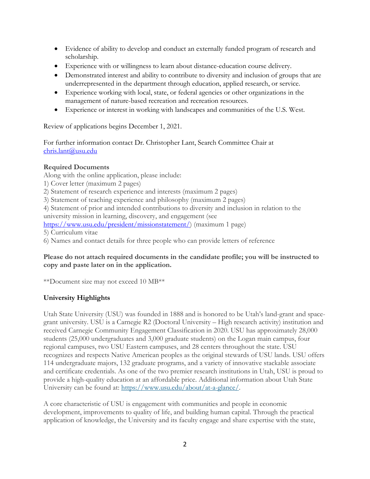- Evidence of ability to develop and conduct an externally funded program of research and scholarship.
- Experience with or willingness to learn about distance-education course delivery.
- Demonstrated interest and ability to contribute to diversity and inclusion of groups that are underrepresented in the department through education, applied research, or service.
- Experience working with local, state, or federal agencies or other organizations in the management of nature-based recreation and recreation resources.
- Experience or interest in working with landscapes and communities of the U.S. West.

Review of applications begins December 1, 2021.

For further information contact Dr. Christopher Lant, Search Committee Chair at chris.lant@usu.edu

# **Required Documents**

Along with the online application, please include:

- 1) Cover letter (maximum 2 pages)
- 2) Statement of research experience and interests (maximum 2 pages)
- 3) Statement of teaching experience and philosophy (maximum 2 pages)

4) Statement of prior and intended contributions to diversity and inclusion in relation to the university mission in learning, discovery, and engagement (see

https://www.usu.edu/president/missionstatement/) (maximum 1 page)

5) Curriculum vitae

6) Names and contact details for three people who can provide letters of reference

### **Please do not attach required documents in the candidate profile; you will be instructed to copy and paste later on in the application.**

\*\*Document size may not exceed 10 MB\*\*

## **University Highlights**

Utah State University (USU) was founded in 1888 and is honored to be Utah's land-grant and spacegrant university. USU is a Carnegie R2 (Doctoral University – High research activity) institution and received Carnegie Community Engagement Classification in 2020. USU has approximately 28,000 students (25,000 undergraduates and 3,000 graduate students) on the Logan main campus, four regional campuses, two USU Eastern campuses, and 28 centers throughout the state. USU recognizes and respects Native American peoples as the original stewards of USU lands. USU offers 114 undergraduate majors, 132 graduate programs, and a variety of innovative stackable associate and certificate credentials. As one of the two premier research institutions in Utah, USU is proud to provide a high-quality education at an affordable price. Additional information about Utah State University can be found at: https://www.usu.edu/about/at-a-glance/.

A core characteristic of USU is engagement with communities and people in economic development, improvements to quality of life, and building human capital. Through the practical application of knowledge, the University and its faculty engage and share expertise with the state,